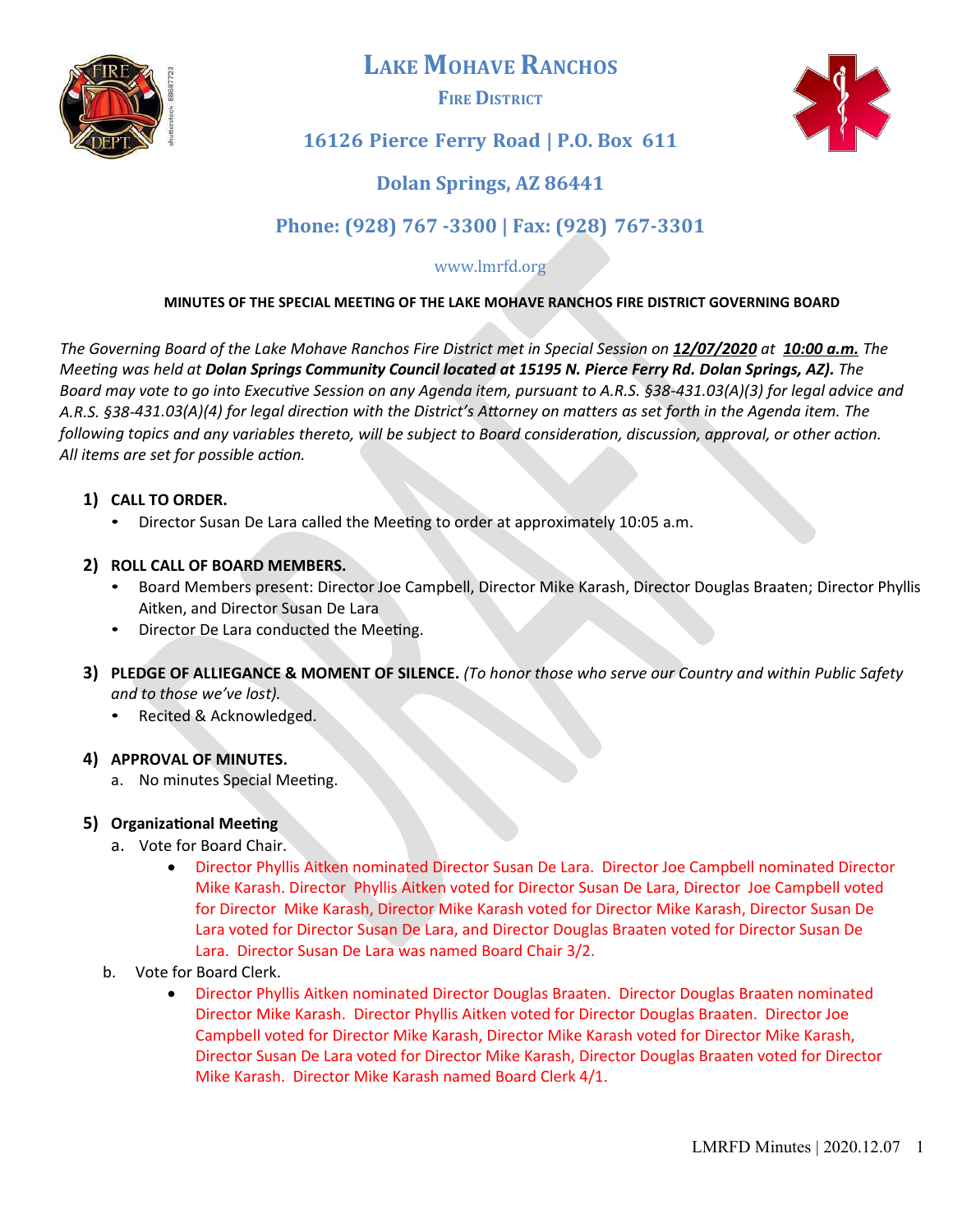

# **LAKE MOHAVE RANCHOS**

**FIRE DISTRICT**



# **16126 Pierce Ferry Road | P.O. Box 611**

# **Dolan Springs, AZ 86441**

# **Phone: (928) 767 -3300 | Fax: (928) 767-3301**

### www.lmrfd.org

#### **MINUTES OF THE SPECIAL MEETING OF THE LAKE MOHAVE RANCHOS FIRE DISTRICT GOVERNING BOARD**

*The Governing Board of the Lake Mohave Ranchos Fire District met in Special Session on 12/07/ 20 2 0 at 1 0 : 0 0 a . m . The Meeting was held at Dolan Springs Community Council located at 15195 N. Pierce Ferry Rd. Dolan Springs, AZ). The Board may vote to go into Executive Session on any Agenda item, pursuant to A.R.S. §38-431.03(A)(3) for legal advice and A.R.S. §38-431.03(A)(4) for legal direction with the District's Atorney on matters as set forth in the Agenda item. The following topics and any variables thereto, will be subject to Board consideration, discussion, approval, or other action. All items are set for possible action.*

#### **1) CALL TO ORDER.**

• Director Susan De Lara called the Meetng to order at approximately 10:05 a.m.

#### **2) ROLL CALL OF BOARD MEMBERS.**

- Board Members present: Director Joe Campbell, Director Mike Karash, Director Douglas Braaten; Director Phyllis Aitken, and Director Susan De Lara
- Director De Lara conducted the Meeting.
- **3) PLEDGE OF ALLIEGANCE & MOMENT OF SILENCE.** *(To honor those who serve our Country and within Public Safety and to those we've lost).*
	- Recited & Acknowledged.

#### **4) APPROVAL OF MINUTES.**

a. No minutes Special Meeting.

## **5) Organizational Meeting**

- a. Vote for Board Chair.
	- Director Phyllis Aitken nominated Director Susan De Lara. Director Joe Campbell nominated Director Mike Karash. Director Phyllis Aitken voted for Director Susan De Lara, Director Joe Campbell voted for Director Mike Karash, Director Mike Karash voted for Director Mike Karash, Director Susan De Lara voted for Director Susan De Lara, and Director Douglas Braaten voted for Director Susan De Lara. Director Susan De Lara was named Board Chair 3/2.
- b. Vote for Board Clerk.
	- Director Phyllis Aitken nominated Director Douglas Braaten. Director Douglas Braaten nominated Director Mike Karash. Director Phyllis Aitken voted for Director Douglas Braaten. Director Joe Campbell voted for Director Mike Karash, Director Mike Karash voted for Director Mike Karash, Director Susan De Lara voted for Director Mike Karash, Director Douglas Braaten voted for Director Mike Karash. Director Mike Karash named Board Clerk 4/1.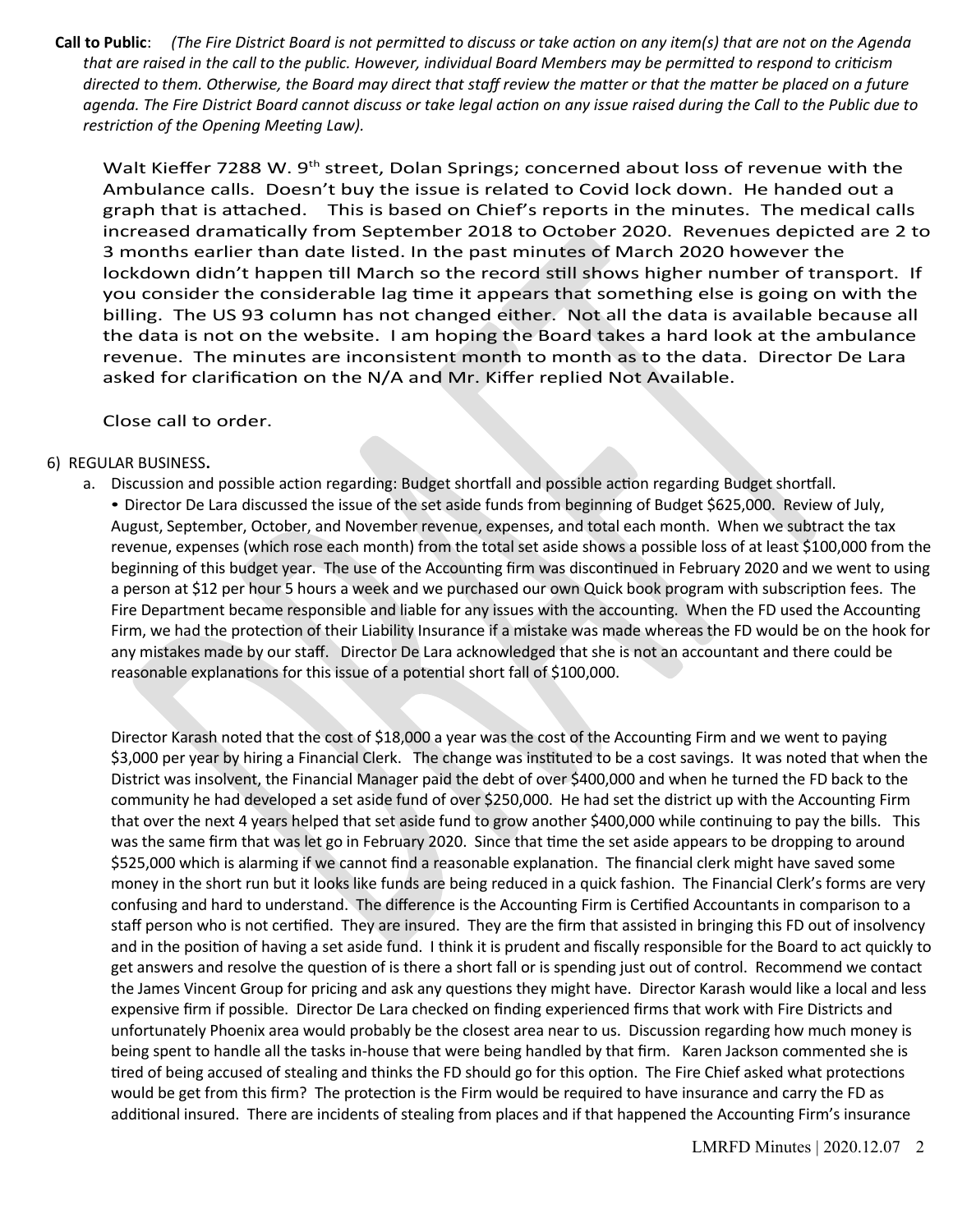Call to Public: (The Fire District Board is not permitted to discuss or take action on any item(s) that are not on the Agenda *that are raised in the call to the public. However, individual Board Members may be permitted to respond to criticism directed to them. Otherwise, the Board may direct that staf review the matter or that the matter be placed on a future agenda. The Fire District Board cannot discuss or take legal action on any issue raised during the Call to the Public due to restriction of the Opening Meeting Law).*

Walt Kieffer 7288 W.  $9<sup>th</sup>$  street, Dolan Springs; concerned about loss of revenue with the Ambulance calls. Doesn't buy the issue is related to Covid lock down. He handed out a graph that is atached. This is based on Chief's reports in the minutes. The medical calls increased dramatically from September 2018 to October 2020. Revenues depicted are 2 to 3 months earlier than date listed. In the past minutes of March 2020 however the lockdown didn't happen till March so the record still shows higher number of transport. If you consider the considerable lag tme it appears that something else is going on with the billing. The US 93 column has not changed either. Not all the data is available because all the data is not on the website. I am hoping the Board takes a hard look at the ambulance revenue. The minutes are inconsistent month to month as to the data. Director De Lara asked for clarification on the N/A and Mr. Kiffer replied Not Available.

Close call to order.

#### 6) REGULAR BUSINESS**.**

a. Discussion and possible action regarding: Budget shortfall and possible action regarding Budget shortfall. • Director De Lara discussed the issue of the set aside funds from beginning of Budget \$625,000. Review of July, August, September, October, and November revenue, expenses, and total each month. When we subtract the tax revenue, expenses (which rose each month) from the total set aside shows a possible loss of at least \$100,000 from the beginning of this budget year. The use of the Accounting firm was discontinued in February 2020 and we went to using a person at \$12 per hour 5 hours a week and we purchased our own Quick book program with subscripton fees. The Fire Department became responsible and liable for any issues with the accounting. When the FD used the Accounting Firm, we had the protecton of their Liability Insurance if a mistake was made whereas the FD would be on the hook for any mistakes made by our staf. Director De Lara acknowledged that she is not an accountant and there could be reasonable explanatons for this issue of a potental short fall of \$100,000.

Director Karash noted that the cost of \$18,000 a year was the cost of the Accountng Firm and we went to paying \$3,000 per year by hiring a Financial Clerk. The change was instituted to be a cost savings. It was noted that when the District was insolvent, the Financial Manager paid the debt of over \$400,000 and when he turned the FD back to the community he had developed a set aside fund of over \$250,000. He had set the district up with the Accountng Firm that over the next 4 years helped that set aside fund to grow another \$400,000 while contnuing to pay the bills. This was the same frm that was let go in February 2020. Since that tme the set aside appears to be dropping to around \$525,000 which is alarming if we cannot fnd a reasonable explanaton. The fnancial clerk might have saved some money in the short run but it looks like funds are being reduced in a quick fashion. The Financial Clerk's forms are very confusing and hard to understand. The difference is the Accounting Firm is Certified Accountants in comparison to a staff person who is not certified. They are insured. They are the firm that assisted in bringing this FD out of insolvency and in the positon of having a set aside fund. I think it is prudent and fscally responsible for the Board to act quickly to get answers and resolve the question of is there a short fall or is spending just out of control. Recommend we contact the James Vincent Group for pricing and ask any questions they might have. Director Karash would like a local and less expensive frm if possible. Director De Lara checked on fnding experienced frms that work with Fire Districts and unfortunately Phoenix area would probably be the closest area near to us. Discussion regarding how much money is being spent to handle all the tasks in-house that were being handled by that firm. Karen Jackson commented she is tired of being accused of stealing and thinks the FD should go for this option. The Fire Chief asked what protections would be get from this firm? The protection is the Firm would be required to have insurance and carry the FD as additonal insured. There are incidents of stealing from places and if that happened the Accountng Firm's insurance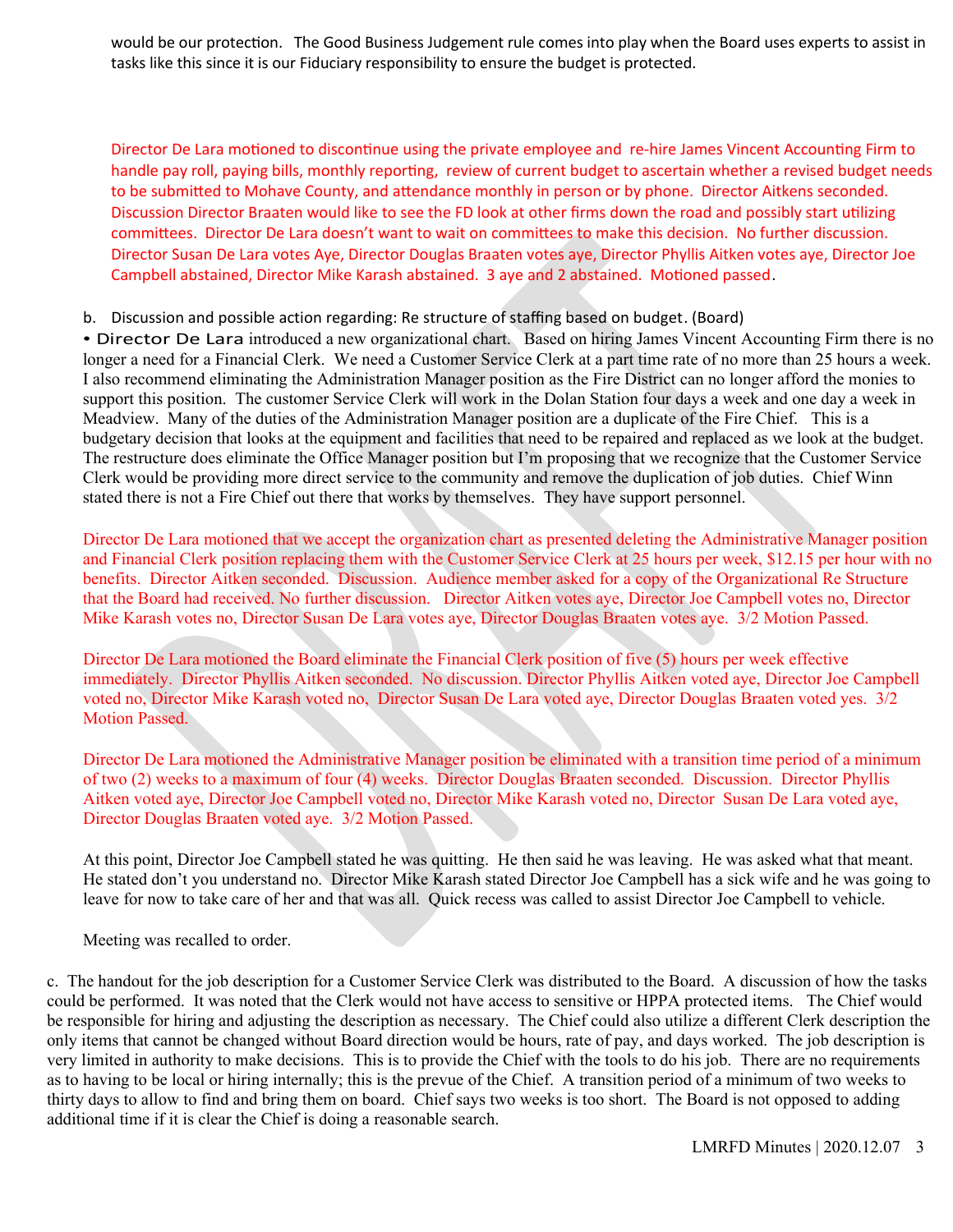would be our protection. The Good Business Judgement rule comes into play when the Board uses experts to assist in tasks like this since it is our Fiduciary responsibility to ensure the budget is protected.

Director De Lara motioned to discontinue using the private employee and re-hire James Vincent Accounting Firm to handle pay roll, paying bills, monthly reporting, review of current budget to ascertain whether a revised budget needs to be submitted to Mohave County, and attendance monthly in person or by phone. Director Aitkens seconded. Discussion Director Braaten would like to see the FD look at other firms down the road and possibly start utilizing commitees. Director De Lara doesn't want to wait on commitees to make this decision. No further discussion. Director Susan De Lara votes Aye, Director Douglas Braaten votes aye, Director Phyllis Aitken votes aye, Director Joe Campbell abstained, Director Mike Karash abstained. 3 aye and 2 abstained. Motioned passed.

b. Discussion and possible action regarding: Re structure of staffing based on budget. (Board)

• Director De Lara introduced a new organizational chart. Based on hiring James Vincent Accounting Firm there is no longer a need for a Financial Clerk. We need a Customer Service Clerk at a part time rate of no more than 25 hours a week. I also recommend eliminating the Administration Manager position as the Fire District can no longer afford the monies to support this position. The customer Service Clerk will work in the Dolan Station four days a week and one day a week in Meadview. Many of the duties of the Administration Manager position are a duplicate of the Fire Chief. This is a budgetary decision that looks at the equipment and facilities that need to be repaired and replaced as we look at the budget. The restructure does eliminate the Office Manager position but I'm proposing that we recognize that the Customer Service Clerk would be providing more direct service to the community and remove the duplication of job duties. Chief Winn stated there is not a Fire Chief out there that works by themselves. They have support personnel.

Director De Lara motioned that we accept the organization chart as presented deleting the Administrative Manager position and Financial Clerk position replacing them with the Customer Service Clerk at 25 hours per week, \$12.15 per hour with no benefits. Director Aitken seconded. Discussion. Audience member asked for a copy of the Organizational Re Structure that the Board had received. No further discussion. Director Aitken votes aye, Director Joe Campbell votes no, Director Mike Karash votes no, Director Susan De Lara votes aye, Director Douglas Braaten votes aye. 3/2 Motion Passed.

Director De Lara motioned the Board eliminate the Financial Clerk position of five (5) hours per week effective immediately. Director Phyllis Aitken seconded. No discussion. Director Phyllis Aitken voted aye, Director Joe Campbell voted no, Director Mike Karash voted no, Director Susan De Lara voted aye, Director Douglas Braaten voted yes. 3/2 Motion Passed.

Director De Lara motioned the Administrative Manager position be eliminated with a transition time period of a minimum of two (2) weeks to a maximum of four (4) weeks. Director Douglas Braaten seconded. Discussion. Director Phyllis Aitken voted aye, Director Joe Campbell voted no, Director Mike Karash voted no, Director Susan De Lara voted aye, Director Douglas Braaten voted aye. 3/2 Motion Passed.

At this point, Director Joe Campbell stated he was quitting. He then said he was leaving. He was asked what that meant. He stated don't you understand no. Director Mike Karash stated Director Joe Campbell has a sick wife and he was going to leave for now to take care of her and that was all. Quick recess was called to assist Director Joe Campbell to vehicle.

Meeting was recalled to order.

c. The handout for the job description for a Customer Service Clerk was distributed to the Board. A discussion of how the tasks could be performed. It was noted that the Clerk would not have access to sensitive or HPPA protected items. The Chief would be responsible for hiring and adjusting the description as necessary. The Chief could also utilize a different Clerk description the only items that cannot be changed without Board direction would be hours, rate of pay, and days worked. The job description is very limited in authority to make decisions. This is to provide the Chief with the tools to do his job. There are no requirements as to having to be local or hiring internally; this is the prevue of the Chief. A transition period of a minimum of two weeks to thirty days to allow to find and bring them on board. Chief says two weeks is too short. The Board is not opposed to adding additional time if it is clear the Chief is doing a reasonable search.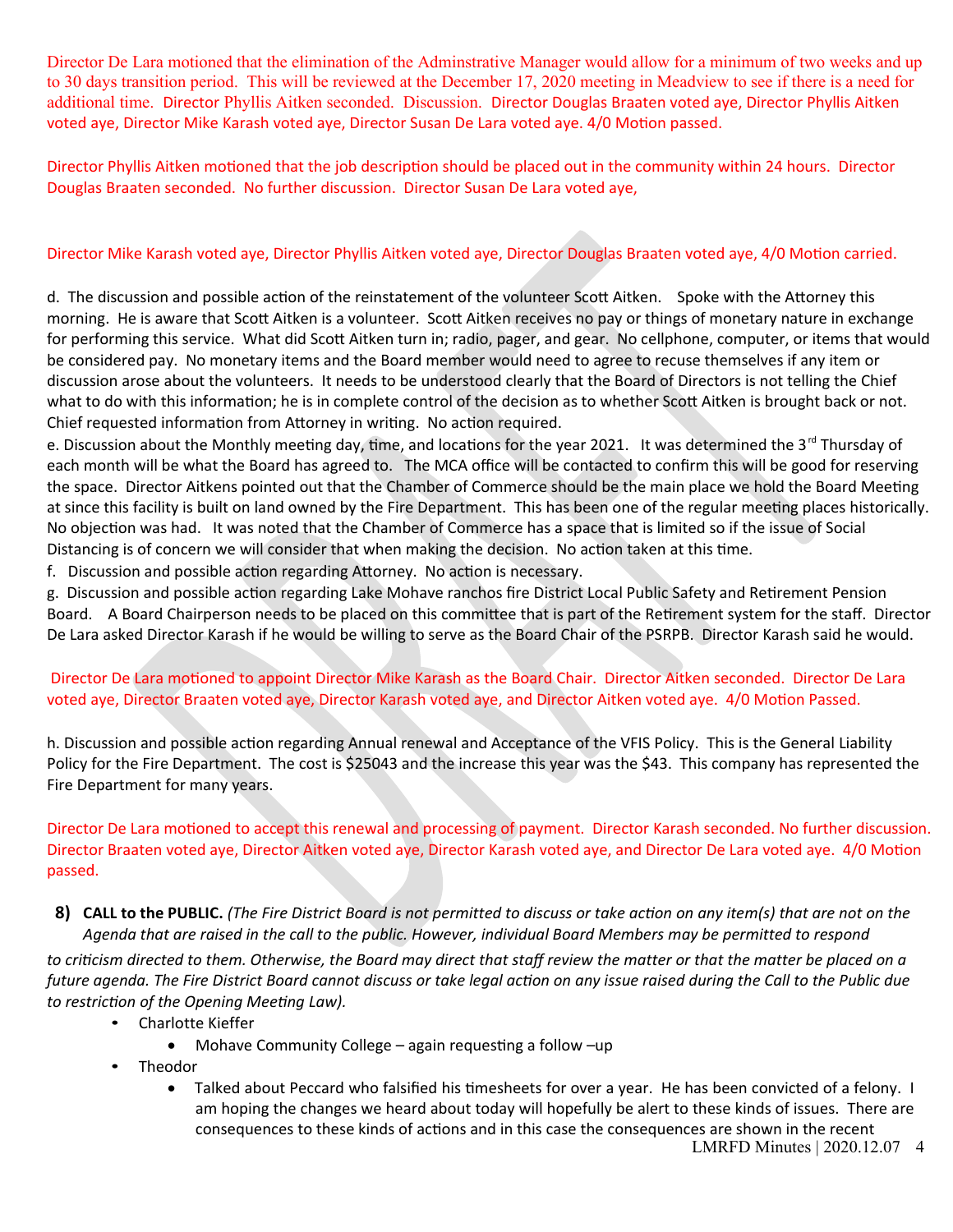Director De Lara motioned that the elimination of the Adminstrative Manager would allow for a minimum of two weeks and up to 30 days transition period. This will be reviewed at the December 17, 2020 meeting in Meadview to see if there is a need for additional time. Director Phyllis Aitken seconded. Discussion. Director Douglas Braaten voted aye, Director Phyllis Aitken voted aye, Director Mike Karash voted aye, Director Susan De Lara voted aye. 4/0 Moton passed.

Director Phyllis Aitken motoned that the job descripton should be placed out in the community within 24 hours. Director Douglas Braaten seconded. No further discussion. Director Susan De Lara voted aye,

# Director Mike Karash voted aye, Director Phyllis Aitken voted aye, Director Douglas Braaten voted aye, 4/0 Motion carried.

d. The discussion and possible action of the reinstatement of the volunteer Scott Aitken. Spoke with the Attorney this morning. He is aware that Scott Aitken is a volunteer. Scott Aitken receives no pay or things of monetary nature in exchange for performing this service. What did Scott Aitken turn in; radio, pager, and gear. No cellphone, computer, or items that would be considered pay. No monetary items and the Board member would need to agree to recuse themselves if any item or discussion arose about the volunteers. It needs to be understood clearly that the Board of Directors is not telling the Chief what to do with this information; he is in complete control of the decision as to whether Scott Aitken is brought back or not. Chief requested information from Attorney in writing. No action required.

e. Discussion about the Monthly meeting day, time, and locations for the year 2021. It was determined the 3<sup>rd</sup> Thursday of each month will be what the Board has agreed to. The MCA office will be contacted to confirm this will be good for reserving the space. Director Aitkens pointed out that the Chamber of Commerce should be the main place we hold the Board Meeting at since this facility is built on land owned by the Fire Department. This has been one of the regular meetng places historically. No objection was had. It was noted that the Chamber of Commerce has a space that is limited so if the issue of Social Distancing is of concern we will consider that when making the decision. No action taken at this time.

f. Discussion and possible action regarding Attorney. No action is necessary.

g. Discussion and possible acton regarding Lake Mohave ranchos fre District Local Public Safety and Retrement Pension Board. A Board Chairperson needs to be placed on this commitee that is part of the Retrement system for the staf. Director De Lara asked Director Karash if he would be willing to serve as the Board Chair of the PSRPB. Director Karash said he would.

## Director De Lara motoned to appoint Director Mike Karash as the Board Chair. Director Aitken seconded. Director De Lara voted aye, Director Braaten voted aye, Director Karash voted aye, and Director Aitken voted aye. 4/0 Moton Passed.

h. Discussion and possible acton regarding Annual renewal and Acceptance of the VFIS Policy. This is the General Liability Policy for the Fire Department. The cost is \$25043 and the increase this year was the \$43. This company has represented the Fire Department for many years.

Director De Lara motoned to accept this renewal and processing of payment. Director Karash seconded. No further discussion. Director Braaten voted aye, Director Aitken voted aye, Director Karash voted aye, and Director De Lara voted aye. 4/0 Moton passed.

8) CALL to the PUBLIC. (The Fire District Board is not permitted to discuss or take action on any item(s) that are not on the *Agenda that are raised in the call to the public. However, individual Board Members may be permitted to respond*

*to criticism directed to them. Otherwise, the Board may direct that staf review the matter or that the matter be placed on a future agenda. The Fire District Board cannot discuss or take legal action on any issue raised during the Call to the Public due to restriction of the Opening Meeting Law).*

- Charlotte Kieffer
	- Mohave Community College again requesting a follow –up
- Theodor
	- Talked about Peccard who falsified his timesheets for over a year. He has been convicted of a felony. I am hoping the changes we heard about today will hopefully be alert to these kinds of issues. There are consequences to these kinds of actons and in this case the consequences are shown in the recent LMRFD Minutes | 2020.12.07 4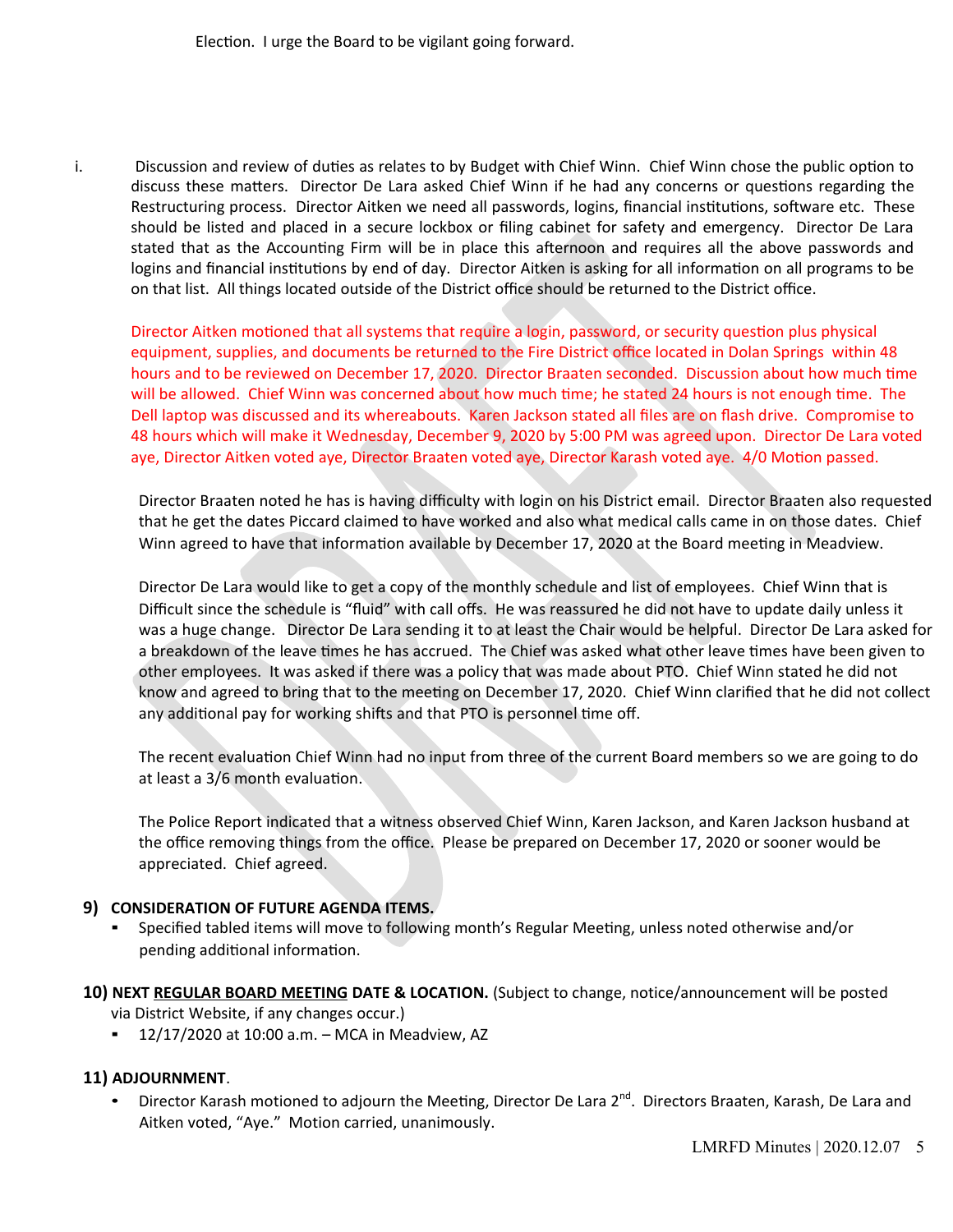Election. I urge the Board to be vigilant going forward.

i. Discussion and review of duties as relates to by Budget with Chief Winn. Chief Winn chose the public option to discuss these matters. Director De Lara asked Chief Winn if he had any concerns or questions regarding the Restructuring process. Director Aitken we need all passwords, logins, fnancial insttutons, sofware etc. These should be listed and placed in a secure lockbox or fling cabinet for safety and emergency. Director De Lara stated that as the Accountng Firm will be in place this afernoon and requires all the above passwords and logins and financial institutions by end of day. Director Aitken is asking for all information on all programs to be on that list. All things located outside of the District office should be returned to the District office.

Director Aitken motioned that all systems that require a login, password, or security question plus physical equipment, supplies, and documents be returned to the Fire District office located in Dolan Springs within 48 hours and to be reviewed on December 17, 2020. Director Braaten seconded. Discussion about how much time will be allowed. Chief Winn was concerned about how much time; he stated 24 hours is not enough time. The Dell laptop was discussed and its whereabouts. Karen Jackson stated all fles are on fash drive. Compromise to 48 hours which will make it Wednesday, December 9, 2020 by 5:00 PM was agreed upon. Director De Lara voted aye, Director Aitken voted aye, Director Braaten voted aye, Director Karash voted aye. 4/0 Moton passed.

Director Braaten noted he has is having difficulty with login on his District email. Director Braaten also requested that he get the dates Piccard claimed to have worked and also what medical calls came in on those dates. Chief Winn agreed to have that information available by December 17, 2020 at the Board meeting in Meadview.

Director De Lara would like to get a copy of the monthly schedule and list of employees. Chief Winn that is Difficult since the schedule is "fluid" with call offs. He was reassured he did not have to update daily unless it was a huge change. Director De Lara sending it to at least the Chair would be helpful. Director De Lara asked for a breakdown of the leave tmes he has accrued. The Chief was asked what other leave tmes have been given to other employees. It was asked if there was a policy that was made about PTO. Chief Winn stated he did not know and agreed to bring that to the meeting on December 17, 2020. Chief Winn clarified that he did not collect any additional pay for working shifts and that PTO is personnel time off.

The recent evaluation Chief Winn had no input from three of the current Board members so we are going to do at least a 3/6 month evaluation.

The Police Report indicated that a witness observed Chief Winn, Karen Jackson, and Karen Jackson husband at the office removing things from the office. Please be prepared on December 17, 2020 or sooner would be appreciated. Chief agreed.

#### **9) CONSIDERATION OF FUTURE AGENDA ITEMS.**

- Specifed tabled items will move to following month's Regular Meetng, unless noted otherwise and/or pending additional information.
- 10) NEXT REGULAR BOARD MEETING DATE & LOCATION. (Subject to change, notice/announcement will be posted via District Website, if any changes occur.)
	- $\blacksquare$  12/17/2020 at 10:00 a.m. MCA in Meadview, AZ

## **11) ADJOURNMENT**.

• Director Karash motioned to adjourn the Meeting, Director De Lara 2<sup>nd</sup>. Directors Braaten, Karash, De Lara and Aitken voted, "Aye." Motion carried, unanimously.